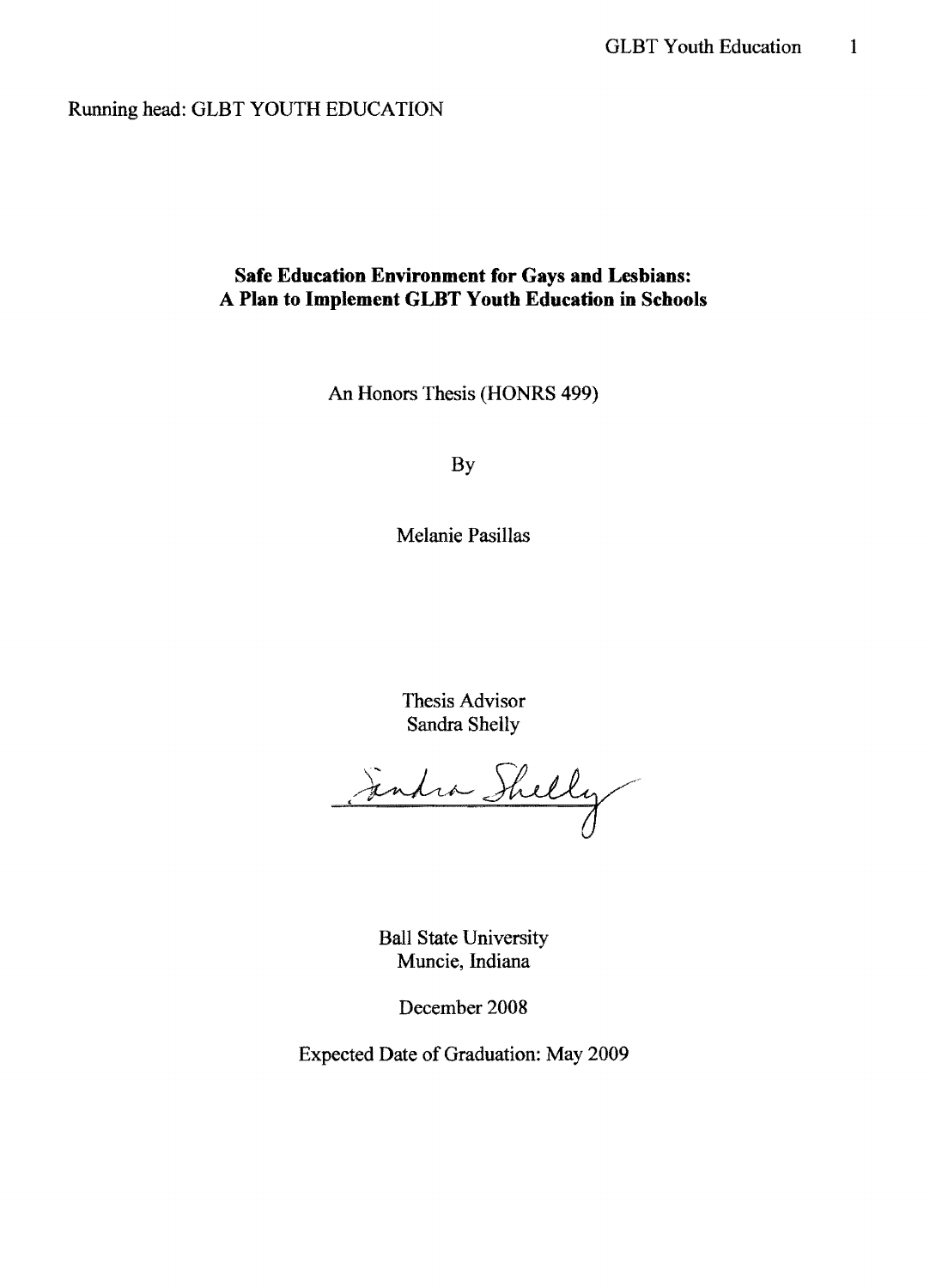Running head: GLBT YOUTH EDUCATION

## **Safe Education Environment for Gays and Lesbians:**  A **Plan to Implement GLBT Youth Education in Schools**

An Honors Thesis (HONRS 499)

By

Melanie Pasillas

Thesis Advisor Sandra Shelly

Julia Shelly

Ball State University Muncie, Indiana

December 2008

Expected Date of Graduation: May 2009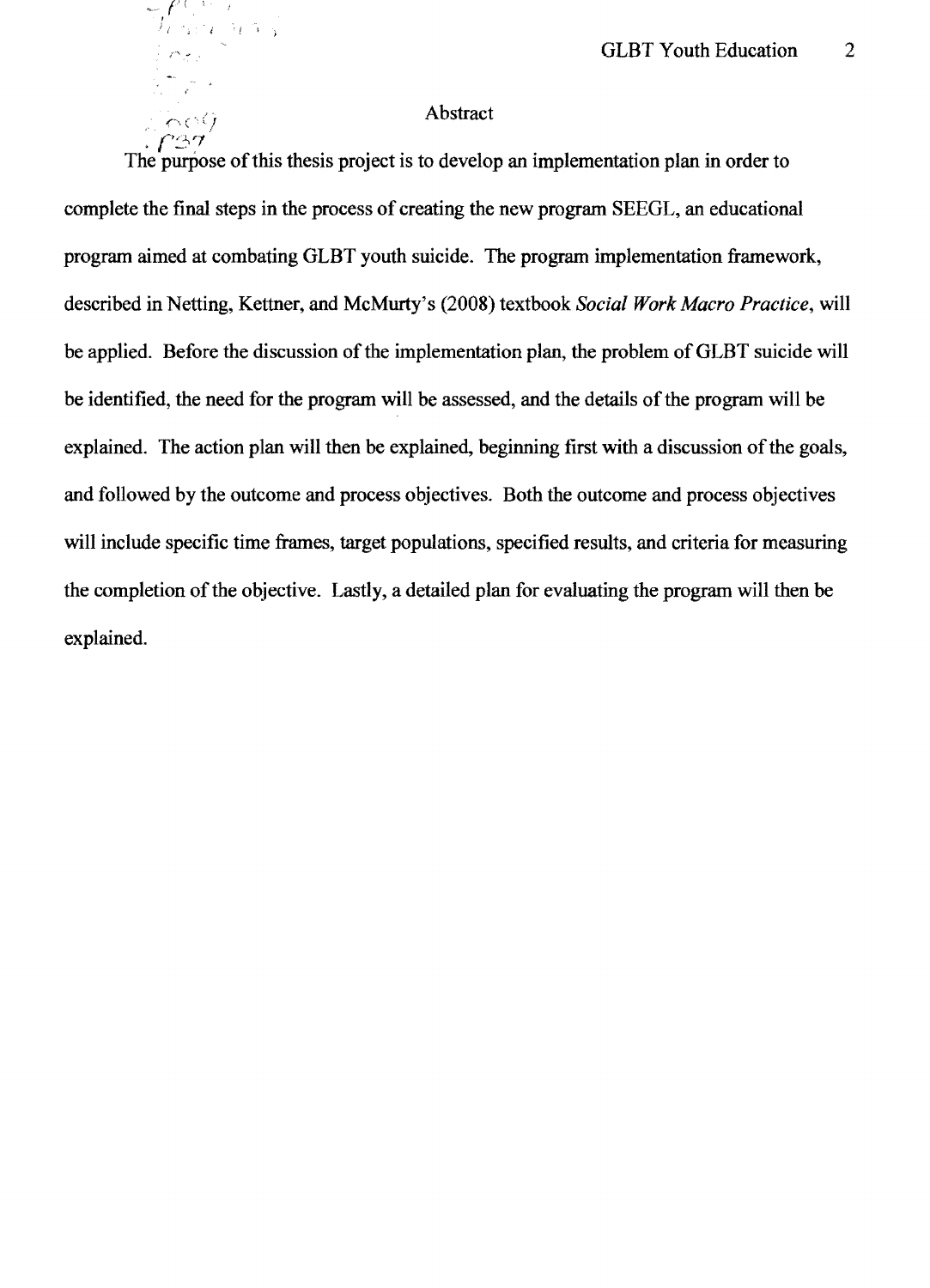## $\bigcap_{\zeta \in \zeta} \zeta$  / Abstract

 $\ell^+$  . I

*t l* . *<sup>i</sup>*'f l

.  $f$ 37  $\,$ The purpose of this thesis project is to develop an implementation plan in order to complete the final steps in the process of creating the new program SEEGL, an educational program aimed at combating GLBT youth suicide. The program implementation framework, described in Netting, Kettner, and McMurty's (2008) textbook *Social Work Macro Practice,* will be applied. Before the discussion of the implementation plan, the problem of GLBT suicide will be identified, the need for the program will be assessed, and the details of the program will be explained. The action plan will then be explained, beginning first with a discussion of the goals, and followed by the outcome and process objectives. Both the outcome and process objectives will include specific time frames, target populations, specified results, and criteria for measuring the completion of the objective. Lastly, a detailed plan for evaluating the program will then be explained.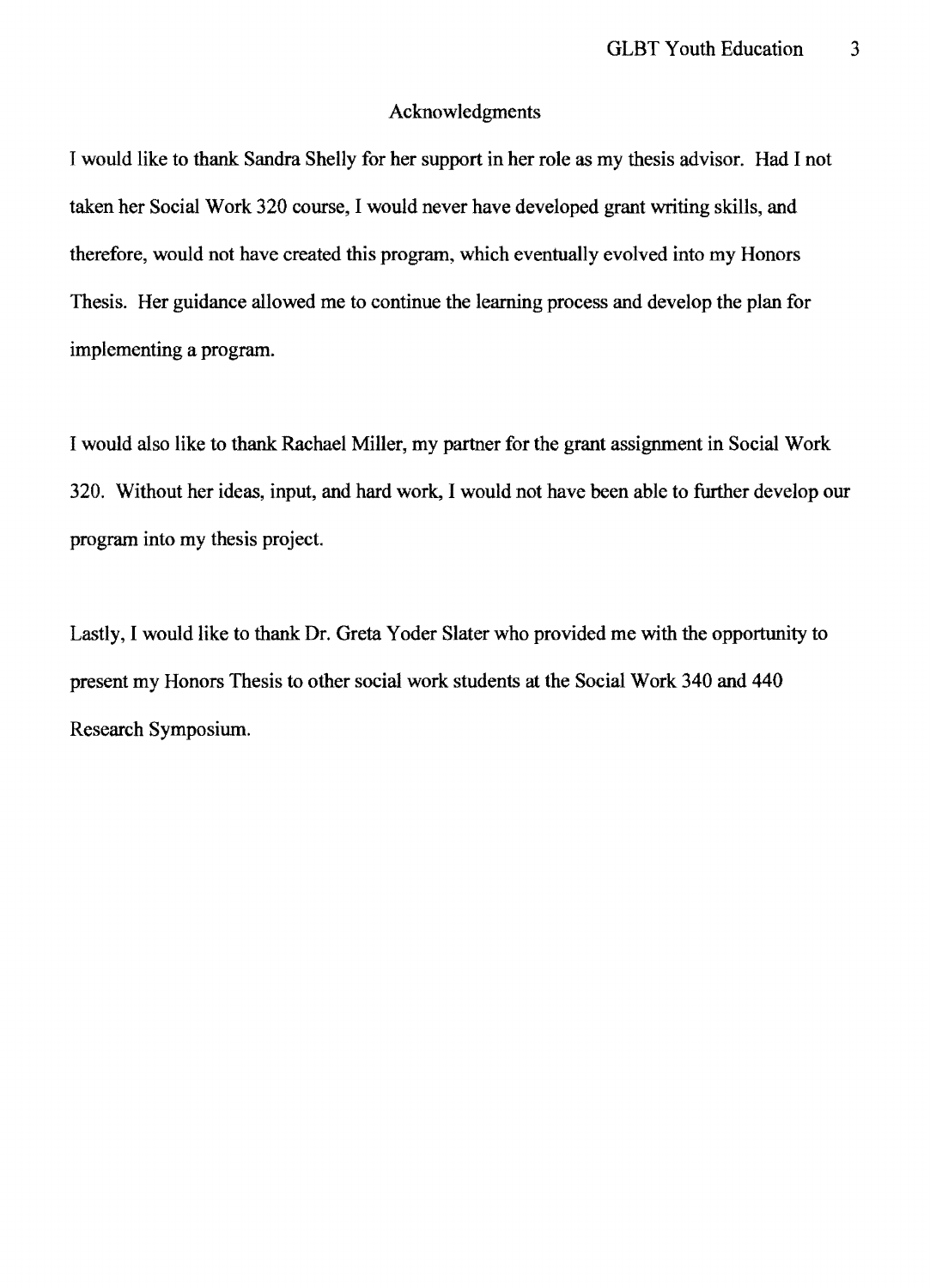### Acknowledgments

I would like to thank Sandra Shelly for her support in her role as my thesis advisor. Had I not taken her Social Work 320 course, I would never have developed grant writing skills, and therefore, would not have created this program, which eventually evolved into my Honors Thesis. Her guidance allowed me to continue the learning process and develop the plan for implementing a program.

I would also like to thank Rachael Miller, my partner for the grant assignment in Social Work 320. Without her ideas, input, and hard work, I would not have been able to further develop our program into my thesis project.

Lastly, I would like to thank Dr. Greta Yoder Slater who provided me with the opportunity to present my Honors Thesis to other social work students at the Social Work 340 and 440 Research Symposium.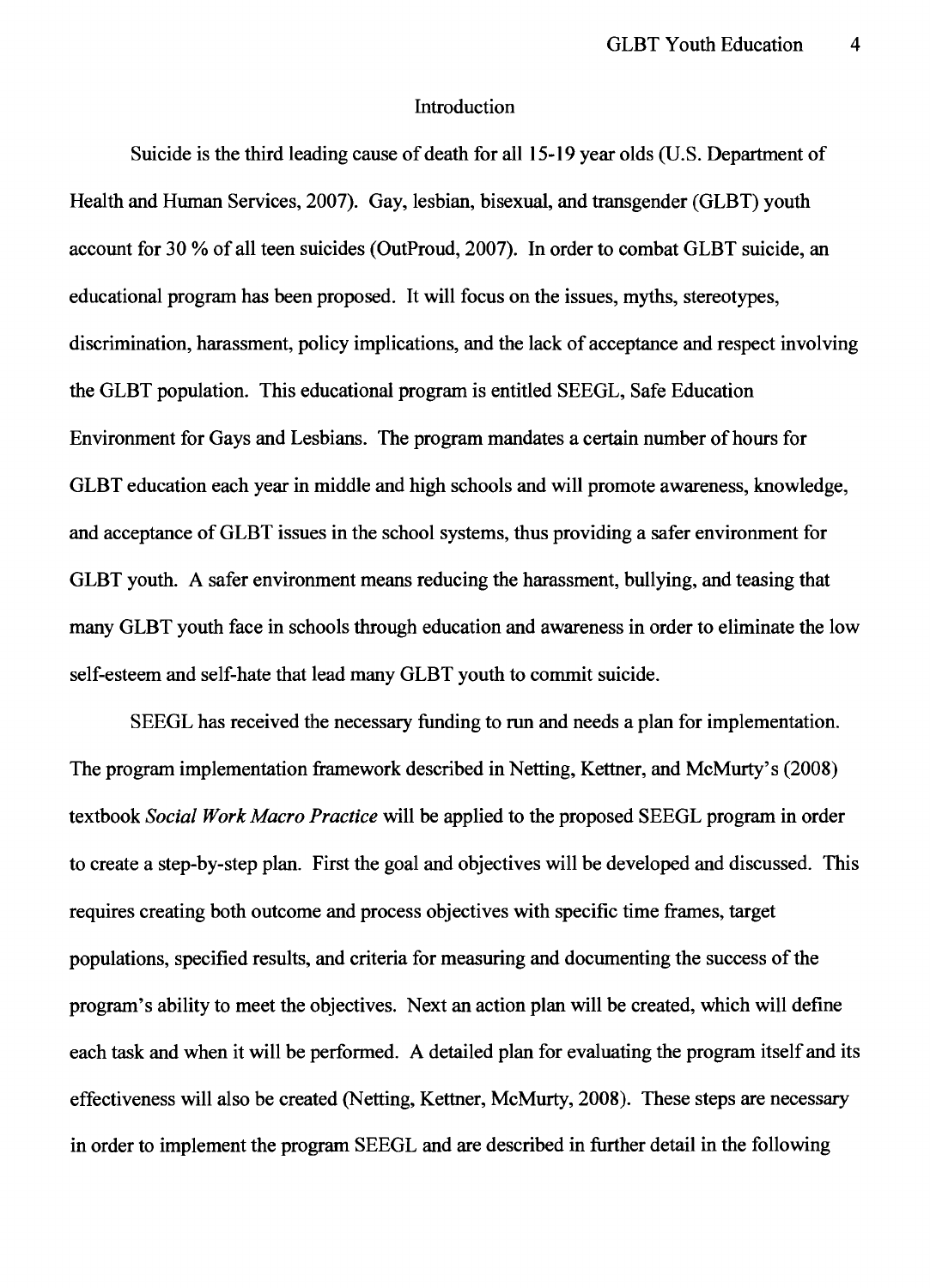### Introduction

Suicide is the third leading cause of death for all 15-19 year olds (U.S. Department of Health and Human Services, 2007). Gay, lesbian, bisexual, and trans gender (GLBT) youth account for 30 % of all teen suicides (OutProud, 2007). In order to combat GLBT suicide, an educational program has been proposed. It will focus on the issues, myths, stereotypes, discrimination, harassment, policy implications, and the lack of acceptance and respect involving the GLBT population. This educational program is entitled SEEGL, Safe Education Environment for Gays and Lesbians. The program mandates a certain number of hours for GLBT education each year in middle and high schools and will promote awareness, knowledge, and acceptance of GLBT issues in the school systems, thus providing a safer environment for GLBT youth. A safer environment means reducing the harassment, bullying, and teasing that many GLBT youth face in schools through education and awareness in order to eliminate the low self-esteem and self-hate that lead many GLBT youth to commit suicide.

SEEGL has received the necessary funding to run and needs a plan for implementation. The program implementation framework described in Netting, Kettner, and McMurty's (2008) textbook *Social Work Macro Practice* will be applied to the proposed SEEGL program in order to create a step-by-step plan. First the goal and objectives will be developed and discussed. This requires creating both outcome and process objectives with specific time frames, target populations, specified results, and criteria for measuring and documenting the success of the program's ability to meet the objectives. Next an action plan will be created, which will define each task and when it will be performed. A detailed plan for evaluating the program itself and its effectiveness will also be created (Netting, Kettner, McMurty, 2008). These steps are necessary in order to implement the program SEEGL and are described in further detail in the following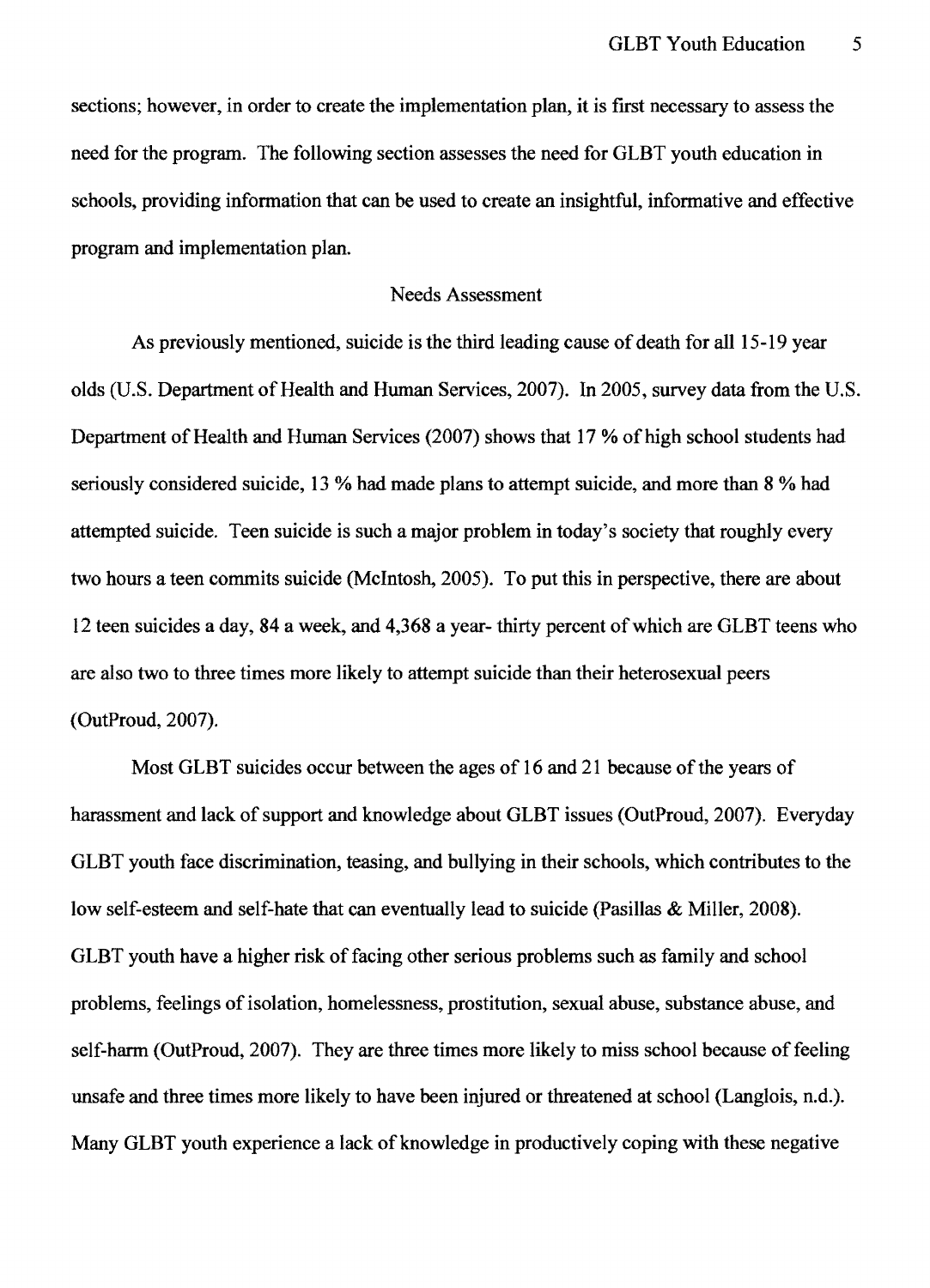sections; however, in order to create the implementation plan, it is first necessary to assess the need for the program. The following section assesses the need for GLBT youth education in schools, providing information that can be used to create an insightful, informative and effective program and implementation plan.

#### Needs Assessment

As previously mentioned, suicide is the third leading cause of death for all 15-19 year olds (U.S. Department of Health and Human Services, 2007). In 2005, survey data from the U.S. Department of Health and Human Services (2007) shows that 17 % of high school students had seriously considered suicide, 13 % had made plans to attempt suicide, and more than 8 % had attempted suicide. Teen suicide is such a major problem in today's society that roughly every two hours a teen commits suicide (McIntosh, 2005). To put this in perspective, there are about 12 teen suicides a day, 84 a week, and 4,368 a year- thirty percent of which are GLBT teens who are also two to three times more likely to attempt suicide than their heterosexual peers (OutProud,2007).

Most GLBT suicides occur between the ages of 16 and 21 because of the years of harassment and lack of support and knowledge about GLBT issues (OutProud, 2007). Everyday GLBT youth face discrimination, teasing, and bullying in their schools, which contributes to the low self-esteem and self-hate that can eventually lead to suicide (Pasillas & Miller, 2008). GLBT youth have a higher risk of facing other serious problems such as family and school problems, feelings of isolation, homelessness, prostitution, sexual abuse, substance abuse, and self-harm (OutProud, 2007). They are three times more likely to miss school because of feeling unsafe and three times more likely to have been injured or threatened at school (Langlois, n.d.). Many GLBT youth experience a lack of knowledge in productively coping with these negative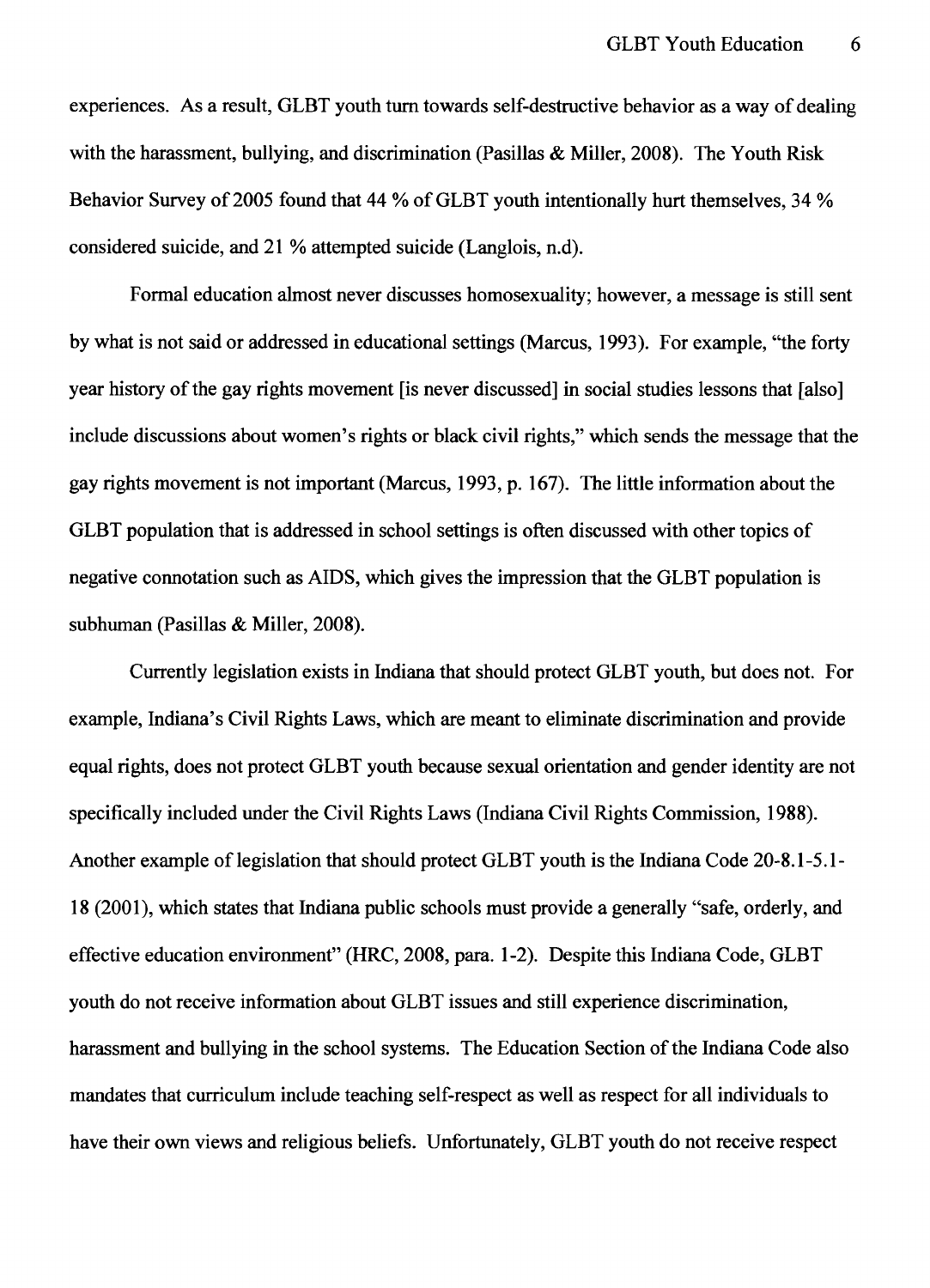experiences. As a result, GLBT youth turn towards self-destructive behavior as a way of dealing with the harassment, bullying, and discrimination (Pasillas & Miller, 2008). The Youth Risk Behavior Survey of 2005 found that 44 % of GLBT youth intentionally hurt themselves, 34 % considered suicide, and 21 % attempted suicide (Langlois, n.d).

Formal education almost never discusses homosexuality; however, a message is still sent by what is not said or addressed in educational settings (Marcus, 1993). For example, "the forty year history of the gay rights movement [is never discussed] in social studies lessons that [also] include discussions about women's rights or black civil rights," which sends the message that the gay rights movement is not important (Marcus, 1993, p. 167). The little information about the GLBT population that is addressed in school settings is often discussed with other topics of negative connotation such as AIDS, which gives the impression that the GLBT population is subhuman (Pasillas & Miller, 2008).

Currently legislation exists in Indiana that should protect GLBT youth, but does not. For example, Indiana's Civil Rights Laws, which are meant to eliminate discrimination and provide equal rights, does not protect GLBT youth because sexual orientation and gender identity are not specifically included under the Civil Rights Laws (Indiana Civil Rights Commission, 1988). Another example of legislation that should protect GLBT youth is the Indiana Code 20-8.1-5.1-18 (2001), which states that Indiana public schools must provide a generally "safe, orderly, and effective education environment" (HRC, 2008, para. 1-2). Despite this Indiana Code, GLBT youth do not receive information about GLBT issues and still experience discrimination, harassment and bullying in the school systems. The Education Section of the Indiana Code also mandates that curriculum include teaching self-respect as well as respect for all individuals to have their own views and religious beliefs. Unfortunately, GLBT youth do not receive respect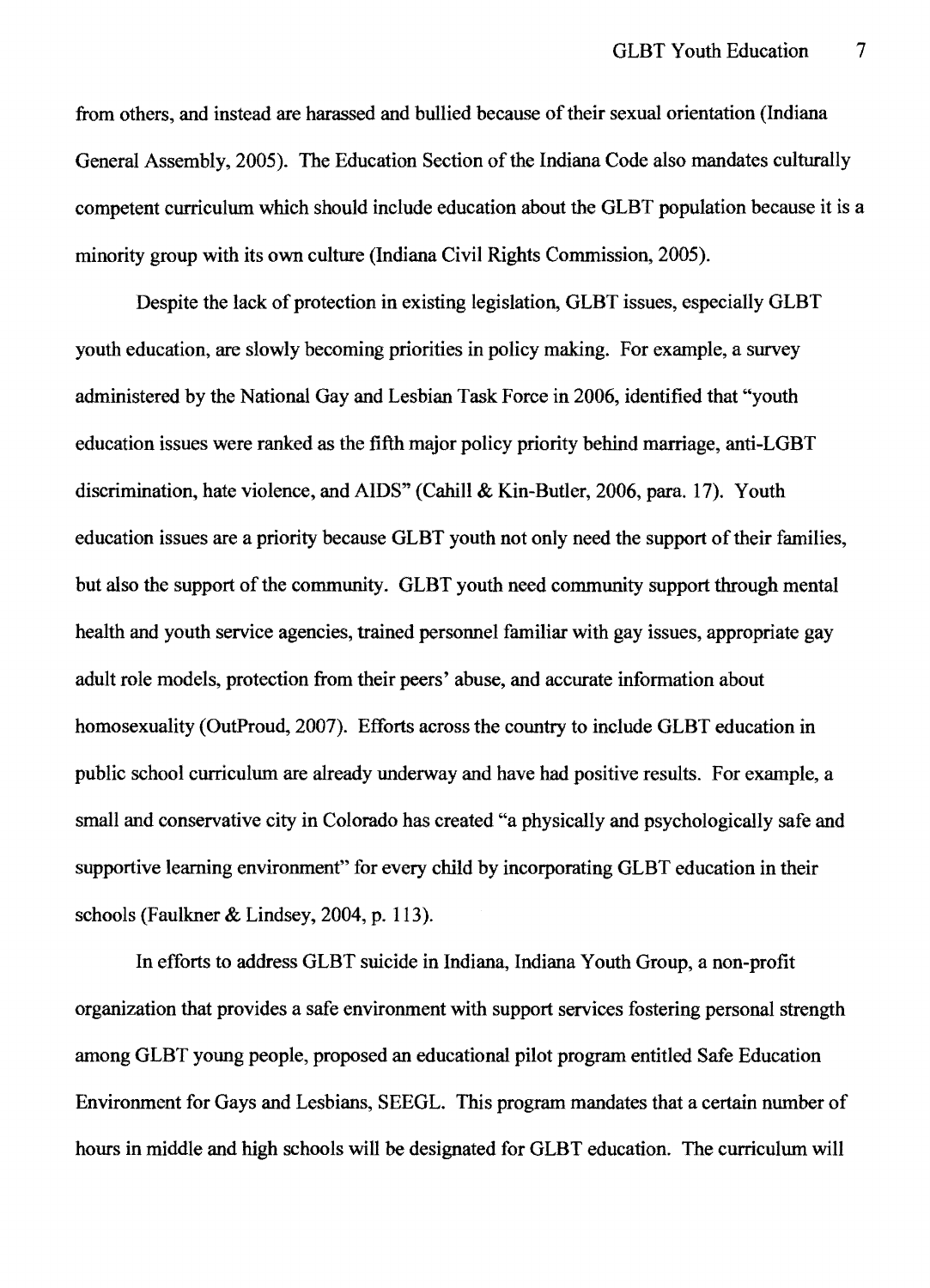from others, and instead are harassed and bullied because of their sexual orientation (Indiana General Assembly, 2005). The Education Section of the Indiana Code also mandates culturally competent curriculum which should include education about the GLBT population because it is a minority group with its own culture (Indiana Civil Rights Commission, 2005).

Despite the lack of protection in existing legislation, GLBT issues, especially GLBT youth education, are slowly becoming priorities in policy making. For example, a survey administered by the National Gay and Lesbian Task Force in 2006, identified that "youth education issues were ranked as the fifth major policy priority behind marriage, anti-LGBT discrimination, hate violence, and AIDS" (Cahill & Kin-Butler, 2006, para. 17). Youth education issues are a priority because GLBT youth not only need the support of their families, but also the support of the community. GLBT youth need community support through mental health and youth service agencies, trained personnel familiar with gay issues, appropriate gay adult role models, protection from their peers' abuse, and accurate information about homosexuality (OutProud, 2007). Efforts across the country to include GLBT education in public school curriculum are already underway and have had positive results. For example, a small and conservative city in Colorado has created "a physically and psychologically safe and supportive learning environment" for every child by incorporating GLBT education in their schools (Faulkner & Lindsey, 2004, p. 113).

In efforts to address GLBT suicide in Indiana, Indiana Youth Group, a non-profit organization that provides a safe environment with support services fostering personal strength among GLBT young people, proposed an educational pilot program entitled Safe Education Environment for Gays and Lesbians, SEEGL. This program mandates that a certain number of hours in middle and high schools will be designated for GLBT education. The curriculum will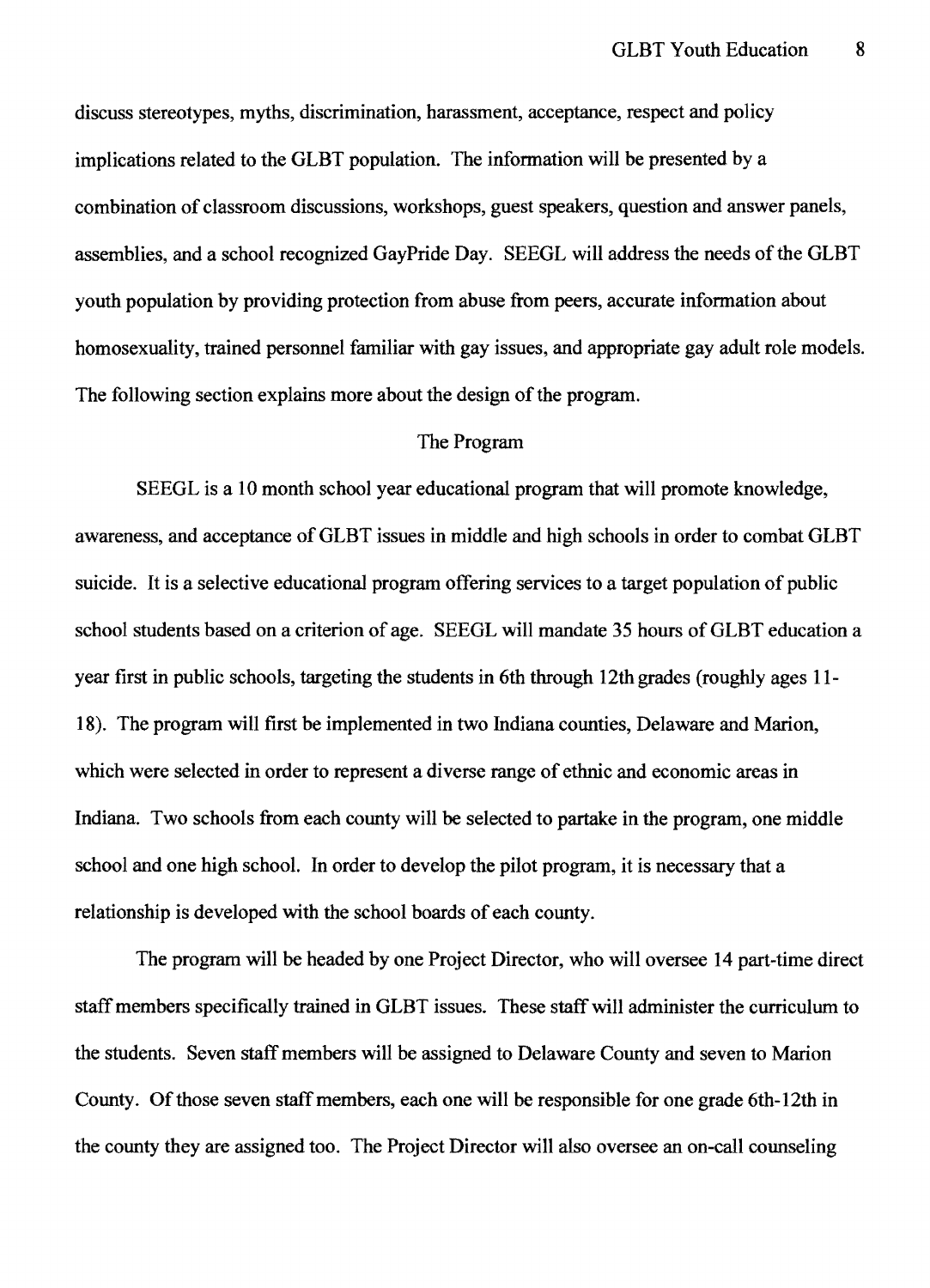discuss stereotypes, myths, discrimination, harassment, acceptance, respect and policy implications related to the GLBT population. The information will be presented by a combination of classroom discussions, workshops, guest speakers, question and answer panels, assemblies, and a school recognized GayPride Day. SEEGL will address the needs of the GLBT youth population by providing protection from abuse from peers, accurate information about homosexuality, trained personnel familiar with gay issues, and appropriate gay adult role models. The following section explains more about the design of the program.

#### The Program

SEEGL is a 10 month school year educational program that will promote knowledge, awareness, and acceptance of GLBT issues in middle and high schools in order to combat GLBT suicide. It is a selective educational program offering services to a target population of public school students based on a criterion of age. SEEGL will mandate 35 hours of GLBT education a year first in public schools, targeting the students in 6th through 12th grades (roughly ages 11- 18). The program will first be implemented in two Indiana counties, Delaware and Marion, which were selected in order to represent a diverse range of ethnic and economic areas in Indiana. Two schools from each county will be selected to partake in the program, one middle school and one high school. In order to develop the pilot program, it is necessary that a relationship is developed with the school boards of each county.

The program will be headed by one Project Director, who will oversee 14 part-time direct staff members specifically trained in GLBT issues. These staff will administer the curriculum to the students. Seven staff members will be assigned to Delaware County and seven to Marion County. Of those seven staff members, each one will be responsible for one grade 6th-12th in the county they are assigned too. The Project Director will also oversee an on-call counseling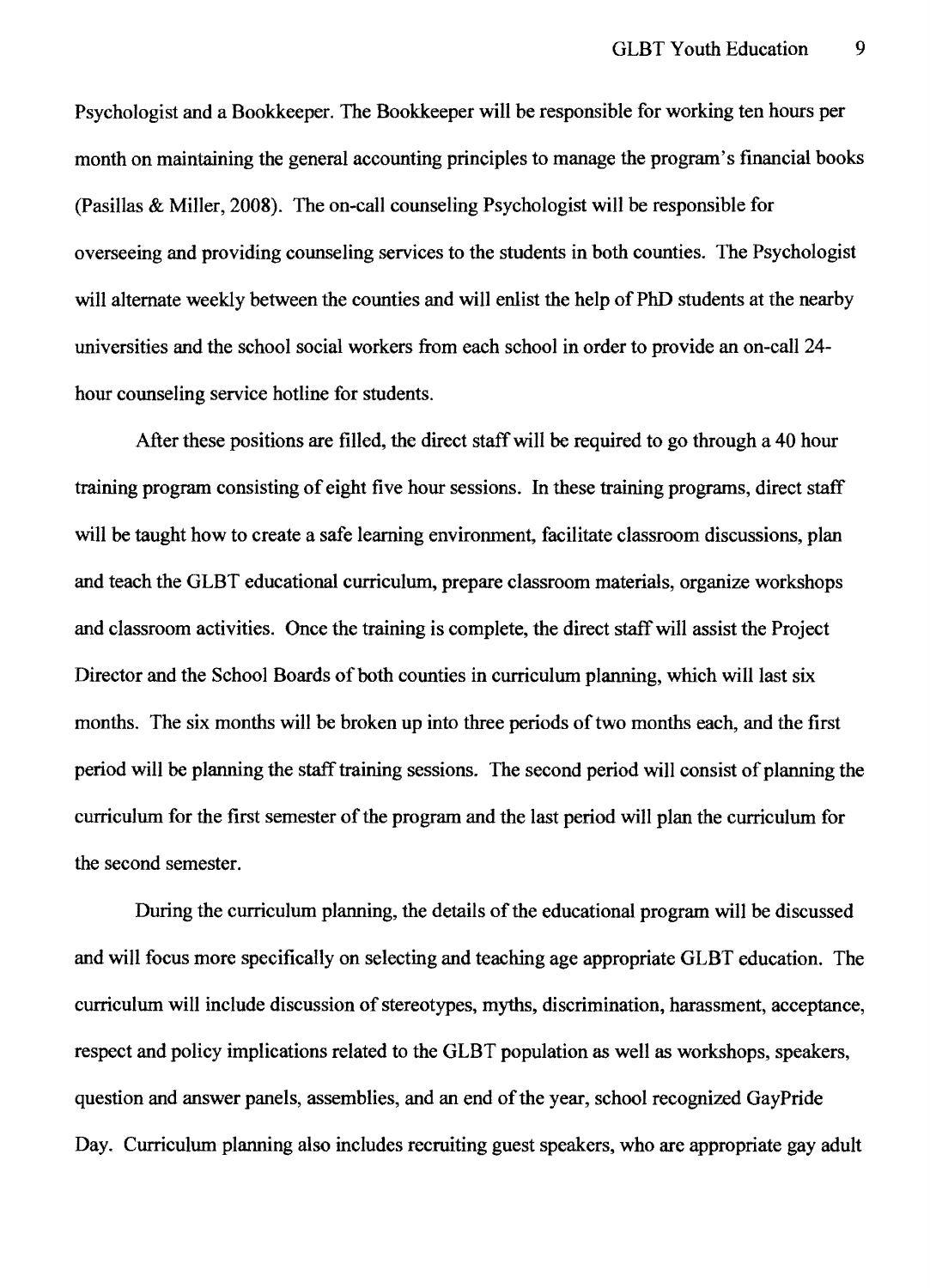Psychologist and a Bookkeeper. The Bookkeeper will be responsible for working ten hours per month on maintaining the general accounting principles to manage the program's financial books (Pasillas & Miller, 2008). The on-call counseling Psychologist will be responsible for overseeing and providing counseling services to the students in both counties. The Psychologist will alternate weekly between the counties and will enlist the help of PhD students at the nearby universities and the school social workers from each school in order to provide an on-call 24 hour counseling service hotline for students.

After these positions are filled, the direct staff will be required to go through a 40 hour training program consisting of eight five hour sessions. In these training programs, direct staff will be taught how to create a safe learning environment, facilitate classroom discussions, plan and teach the GLBT educational curriculum, prepare classroom materials, organize workshops and classroom activities. Once the training is complete, the direct staffwill assist the Project Director and the School Boards of both counties in curriculum planning, which will last six months. The six months will be broken up into three periods of two months each, and the first period will be planning the staff training sessions. The second period will consist of planning the curriculum for the first semester of the program and the last period will plan the curriculum for the second semester.

During the curriculum planning, the details of the educational program will be discussed and will focus more specifically on selecting and teaching age appropriate GLBT education. The curriculum will include discussion of stereotypes, myths, discrimination, harassment, acceptance, respect and policy implications related to the GLBT population as well as workshops, speakers, question and answer panels, assemblies, and an end of the year, school recognized GayPride Day. Curriculum planning also includes recruiting guest speakers, who are appropriate gay adult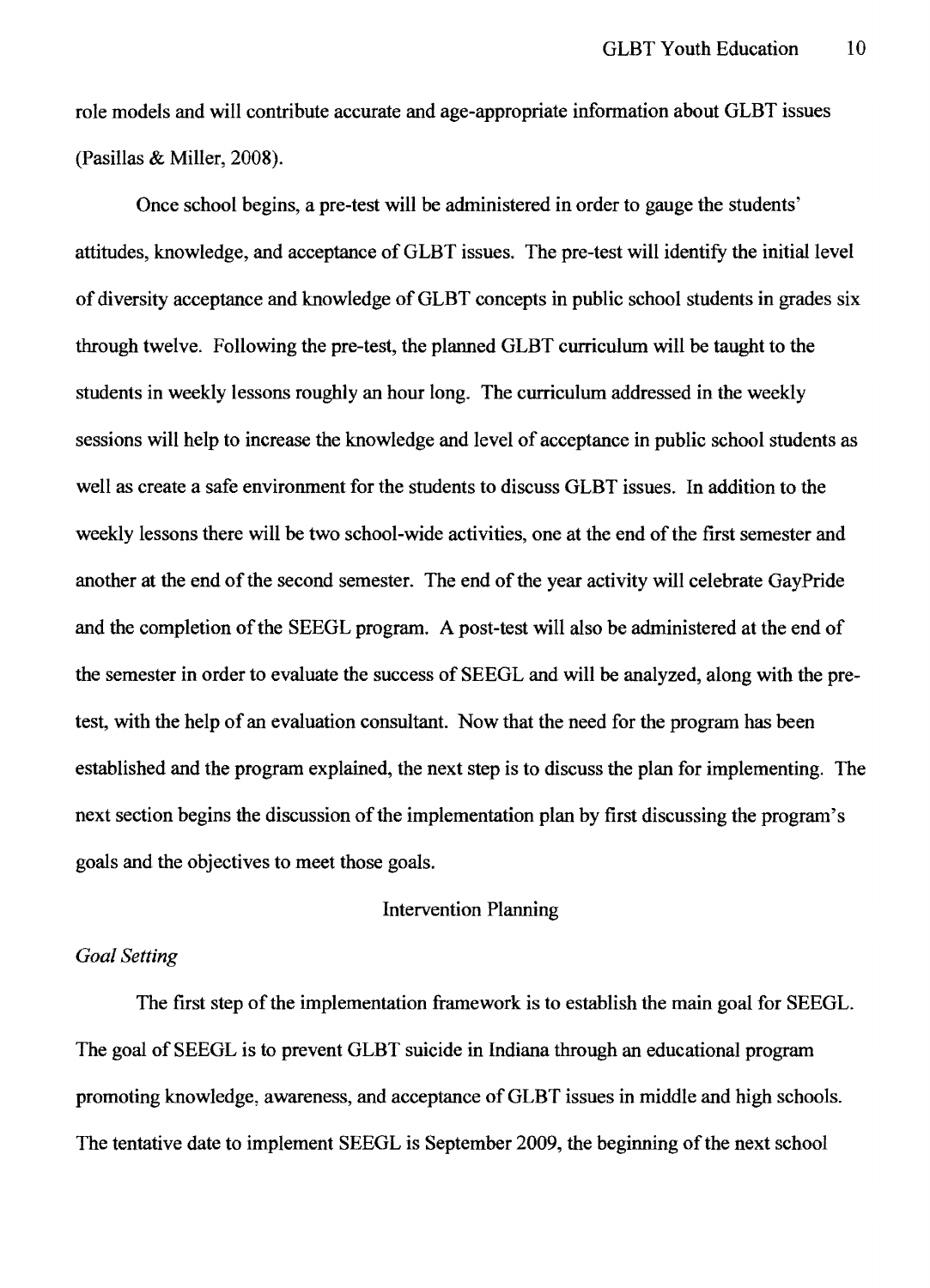role models and will contribute accurate and age-appropriate infonnation about GLBT issues (Pasillas & Miller, 2008).

Once school begins, a pre-test will be administered in order to gauge the students' attitudes, knowledge, and acceptance of GLBT issues. The pre-test will identify the initial level of diversity acceptance and knowledge of GLBT concepts in public school students in grades six through twelve. Following the pre-test, the planned GLBT curriculum will be taught to the students in weekly lessons roughly an hour long. The curriculum addressed in the weekly sessions will help to increase the knowledge and level of acceptance in public school students as well as create a safe environment for the students to discuss GLBT issues. In addition to the weekly lessons there will be two school-wide activities, one at the end of the first semester and another at the end of the second semester. The end of the year activity will celebrate GayPride and the completion of the SEEGL program. A post-test will also be administered at the end of the semester in order to evaluate the success of SEEGL and will be analyzed, along with the pretest, with the help of an evaluation consultant. Now that the need for the program has been established and the program explained, the next step is to discuss the plan for implementing. The next section begins the discussion of the implementation plan by first discussing the program's goals and the objectives to meet those goals.

## Intervention Planning

### *Goal Setting*

The first step of the implementation framework is to establish the main goal for SEEGL. The goal of SEEGL is to prevent GLBT suicide in Indiana through an educational program promoting knowledge, awareness, and acceptance of GLBT issues in middle and high schools. The tentative date to implement SEEGL is September 2009, the beginning of the next school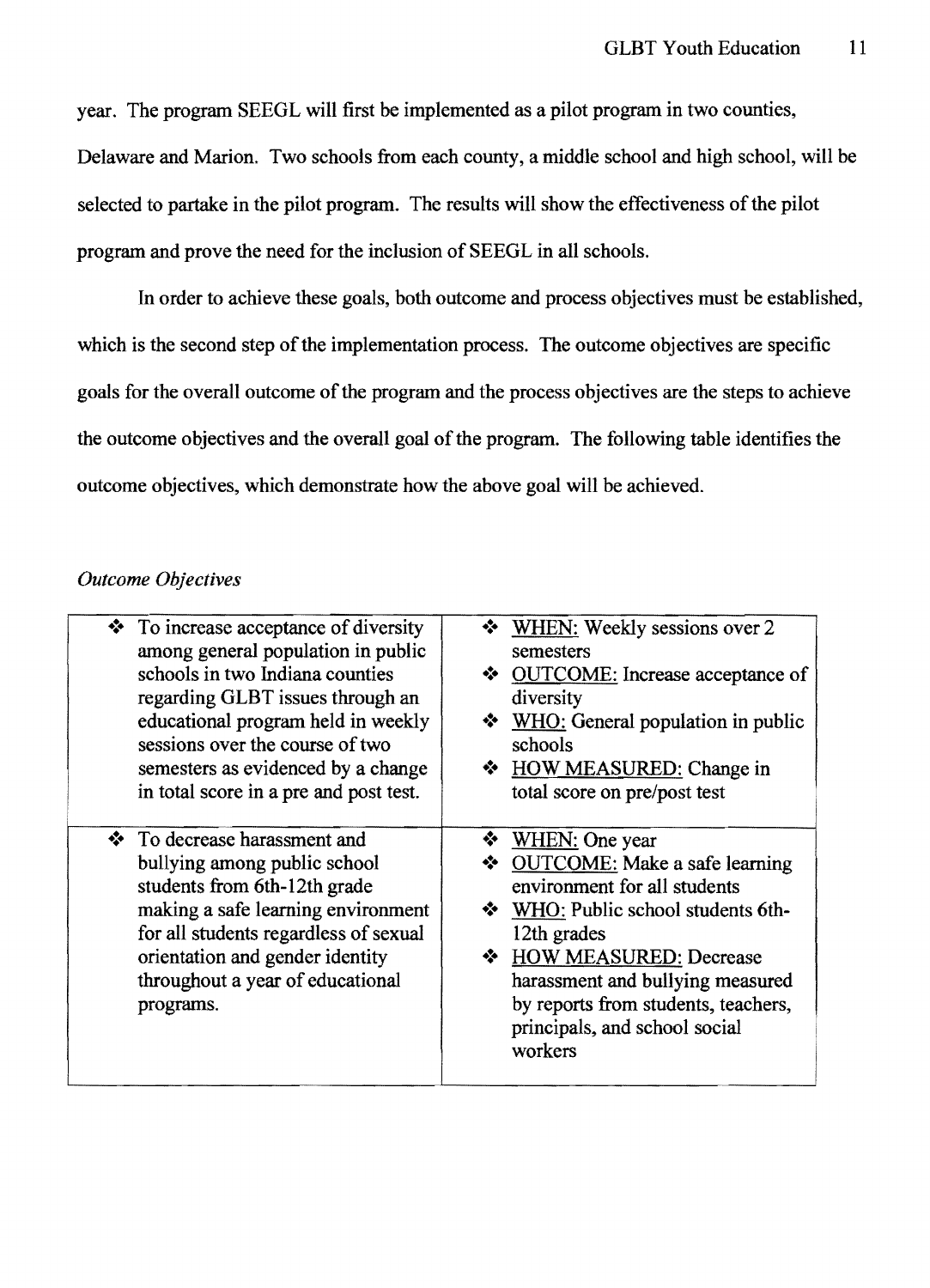year. The program SEEGL will first be implemented as a pilot program in two counties, Delaware and Marion. Two schools from each county, a middle school and high school, will be selected to partake in the pilot program. The results will show the effectiveness of the pilot program and prove the need for the inclusion of SEEGL in all schools.

**In** order to achieve these goals, both outcome and process objectives must be established, which is the second step of the implementation process. The outcome objectives are specific goals for the overall outcome of the program and the process objectives are the steps to achieve the outcome objectives and the overall goal of the program. The following table identifies the outcome objectives, which demonstrate how the above goal will be achieved.

### *Outcome Objectives*

| $\bullet$ To increase acceptance of diversity                                                                                                                                                                                                                   | <b>WHEN:</b> Weekly sessions over 2                                                                                                                                                                                                                                                                    |
|-----------------------------------------------------------------------------------------------------------------------------------------------------------------------------------------------------------------------------------------------------------------|--------------------------------------------------------------------------------------------------------------------------------------------------------------------------------------------------------------------------------------------------------------------------------------------------------|
| among general population in public                                                                                                                                                                                                                              | semesters                                                                                                                                                                                                                                                                                              |
| schools in two Indiana counties                                                                                                                                                                                                                                 | ❖ OUTCOME: Increase acceptance of                                                                                                                                                                                                                                                                      |
| regarding GLBT issues through an                                                                                                                                                                                                                                | diversity                                                                                                                                                                                                                                                                                              |
| educational program held in weekly                                                                                                                                                                                                                              | $\bullet$ WHO: General population in public                                                                                                                                                                                                                                                            |
| sessions over the course of two                                                                                                                                                                                                                                 | schools                                                                                                                                                                                                                                                                                                |
| semesters as evidenced by a change                                                                                                                                                                                                                              | ❖ HOW MEASURED: Change in                                                                                                                                                                                                                                                                              |
| in total score in a pre and post test.                                                                                                                                                                                                                          | total score on pre/post test                                                                                                                                                                                                                                                                           |
| ❖ To decrease harassment and<br>bullying among public school<br>students from 6th-12th grade<br>making a safe learning environment<br>for all students regardless of sexual<br>orientation and gender identity<br>throughout a year of educational<br>programs. | WHEN: One year<br>◆ OUTCOME: Make a safe learning<br>environment for all students<br>❖ WHO: Public school students 6th-<br>12th grades<br><b>EXAMPLE HOW MEASURED: Decrease</b><br>harassment and bullying measured<br>by reports from students, teachers,<br>principals, and school social<br>workers |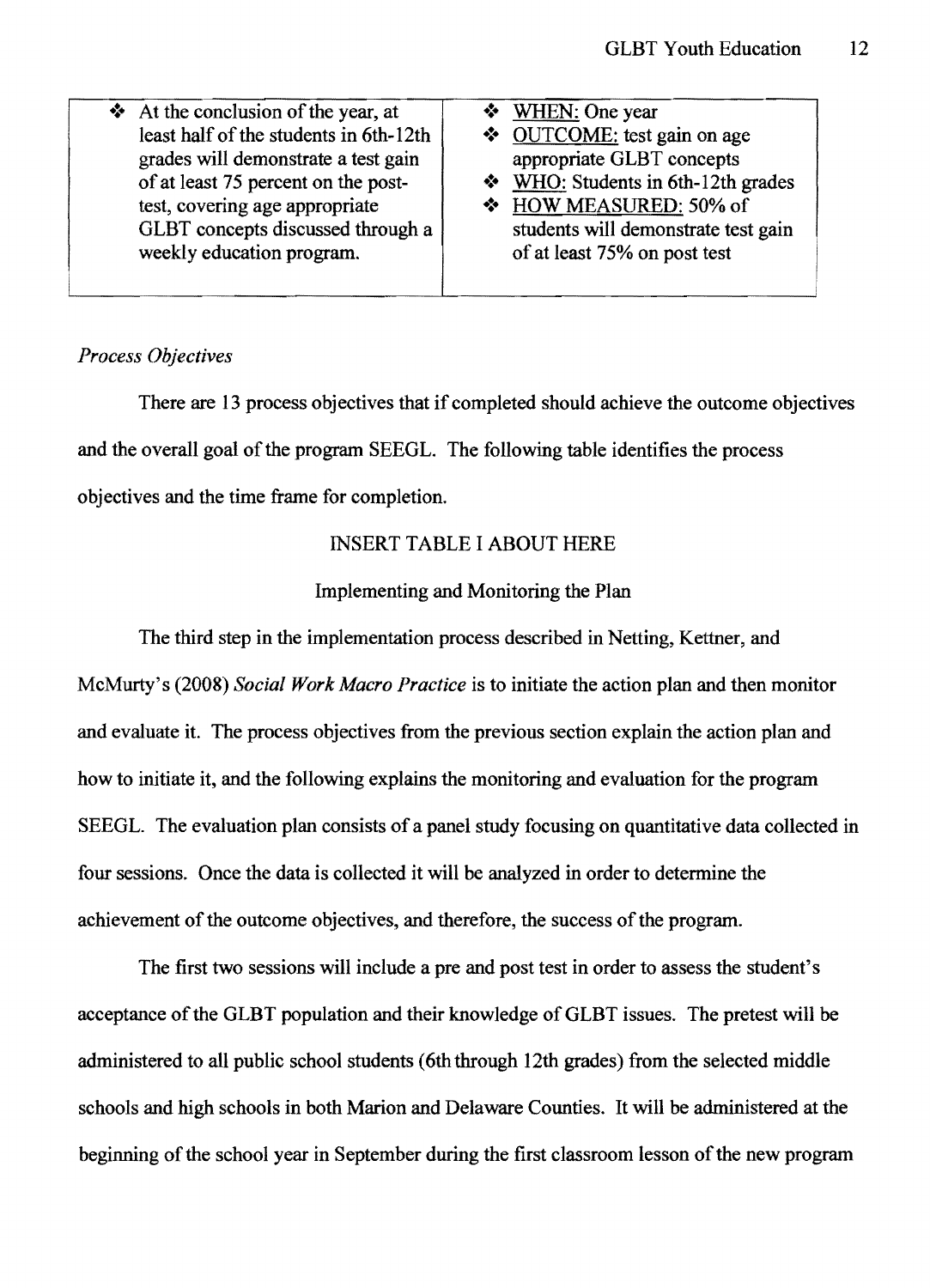| $\triangleleft$ At the conclusion of the year, at<br>least half of the students in 6th-12th<br>grades will demonstrate a test gain<br>of at least 75 percent on the post-<br>test, covering age appropriate<br>GLBT concepts discussed through a<br>weekly education program. | ❖ WHEN: One year<br>❖ OUTCOME: test gain on age<br>appropriate GLBT concepts<br>$\bullet$ WHO: Students in 6th-12th grades<br>* HOW MEASURED: 50% of<br>students will demonstrate test gain<br>of at least 75% on post test |
|-------------------------------------------------------------------------------------------------------------------------------------------------------------------------------------------------------------------------------------------------------------------------------|-----------------------------------------------------------------------------------------------------------------------------------------------------------------------------------------------------------------------------|
|                                                                                                                                                                                                                                                                               |                                                                                                                                                                                                                             |

## *Process Objectives*

There are 13 process objectives that if completed should achieve the outcome objectives and the overall goal of the program SEEGL. The following table identifies the process objectives and the time frame for completion.

## **INSERT TABLE I ABOUT HERE**

## Implementing and Monitoring the Plan

The third step in the implementation process described in Netting, Kettner, and McMurty's (2008) *Social Work Macro Practice* is to initiate the action plan and then monitor and evaluate it. The process objectives from the previous section explain the action plan and how to initiate it, and the following explains the monitoring and evaluation for the program SEEGL. The evaluation plan consists of a panel study focusing on quantitative data collected in four sessions. Once the data is collected it will be analyzed in order to determine the achievement of the outcome objectives, and therefore, the success of the program.

The first two sessions will include a pre and post test in order to assess the student's acceptance of the GLBT population and their knowledge of GLBT issues. The pretest will be administered to all public school students (6th through 12th grades) from the selected middle schools and high schools in both Marion and Delaware Counties. It will be administered at the beginning of the school year in September during the first classroom lesson of the new program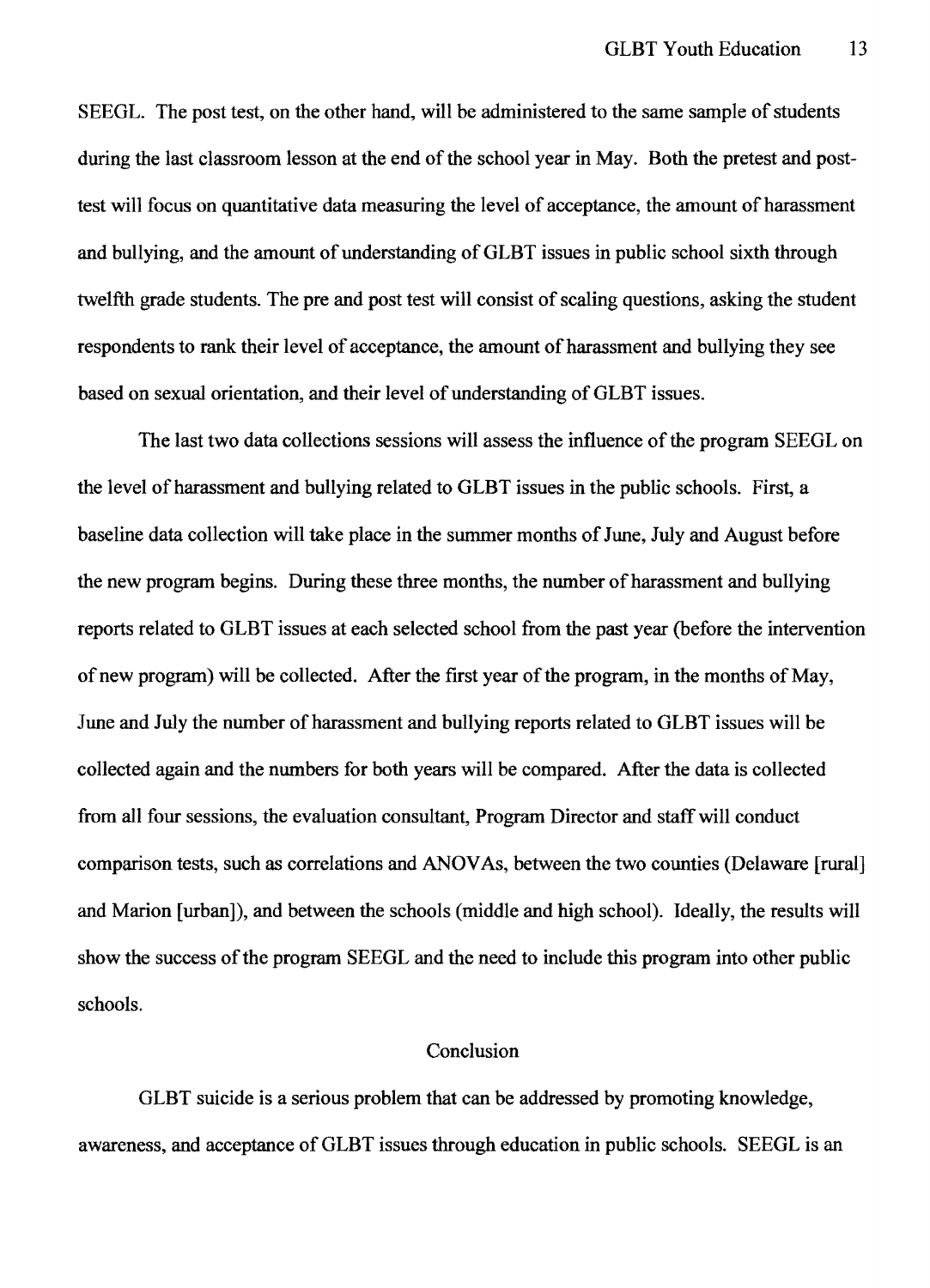SEEGL. The post test, on the other hand, will be administered to the same sample of students during the last classroom lesson at the end of the school year in May. Both the pretest and posttest will focus on quantitative data measuring the level of acceptance, the amount of harassment and bullying, and the amount of understanding of GLBT issues in public school sixth through twelfth grade students. The pre and post test will consist of scaling questions, asking the student respondents to rank their level of acceptance, the amount of harassment and bullying they see based on sexual orientation, and their level of understanding of GLBT issues.

The last two data collections sessions will assess the influence of the program SEEGL on the level of harassment and bullying related to GLBT issues in the public schools. First, a baseline data collection will take place in the summer months of June, July and August before the new program begins. During these three months, the number of harassment and bullying reports related to GLBT issues at each selected school from the past year (before the intervention of new program) will be collected. After the first year of the program, in the months of May, June and July the number of harassment and bullying reports related to GLBT issues will be collected again and the numbers for both years will be compared. After the data is collected from all four sessions, the evaluation consultant, Program Director and staff will conduct comparison tests, such as correlations and ANOV As, between the two counties (Delaware [rural] and Marion [urban]), and between the schools (middle and high school). Ideally, the results will show the success of the program SEEGL and the need to include this program into other public schools.

### Conclusion

GLBT suicide is a serious problem that can be addressed by promoting knowledge, awareness, and acceptance of GLBT issues through education in public schools. SEEGL is an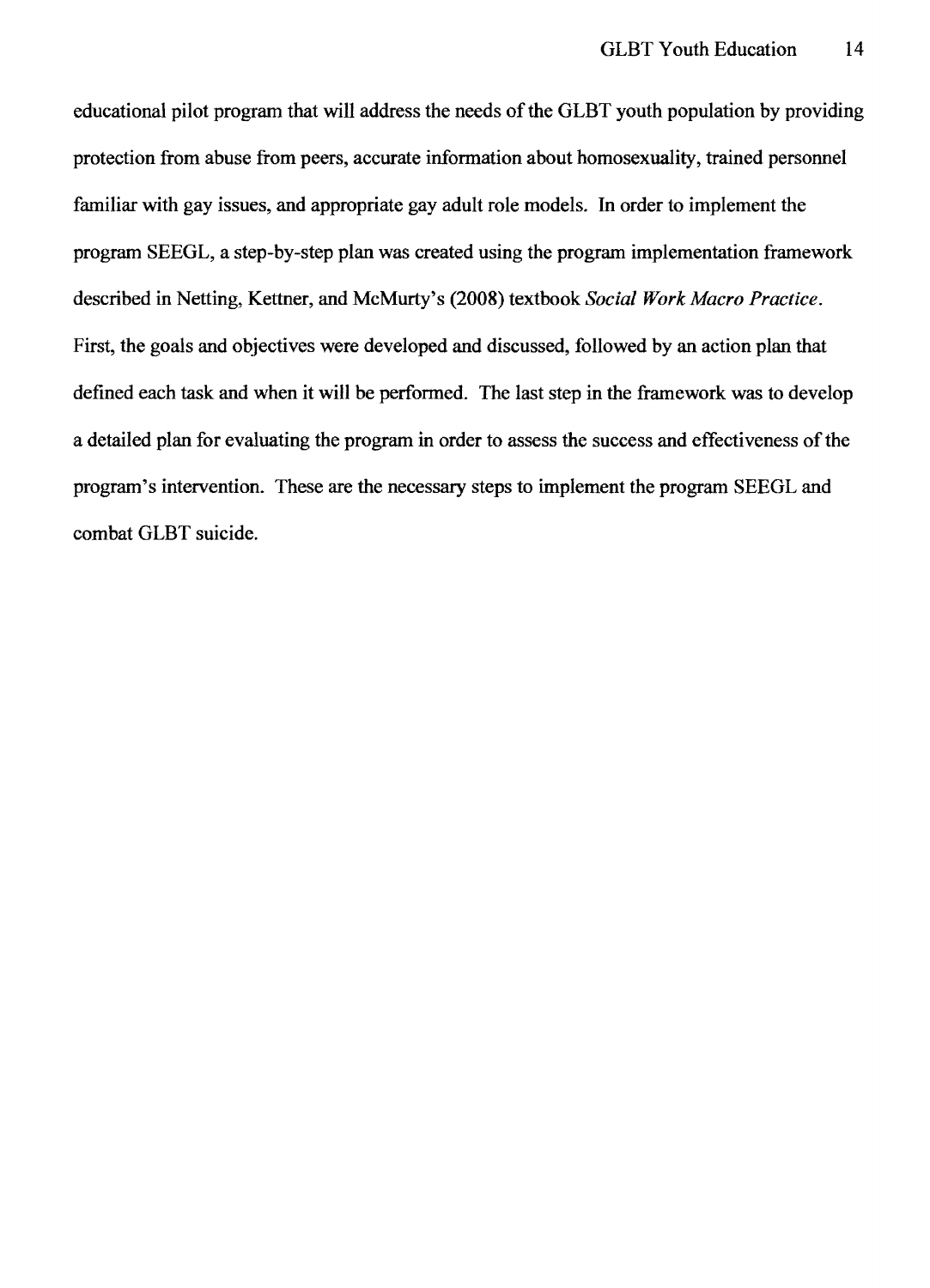educational pilot program that will address the needs of the GLBT youth population by providing protection from abuse from peers, accurate information about homosexuality, trained personnel familiar with gay issues, and appropriate gay adult role models. **In** order to implement the program SEEGL, a step-by-step plan was created using the program implementation framework described in Netting, Kettner, and McMurty's (2008) textbook *Social Work Macro Practice.*  First, the goals and objectives were developed and discussed, followed by an action plan that defined each task and when it will be performed. The last step in the framework was to develop a detailed plan for evaluating the program in order to assess the success and effectiveness of the program's intervention. These are the necessary steps to implement the program SEEGL and combat GLBT suicide.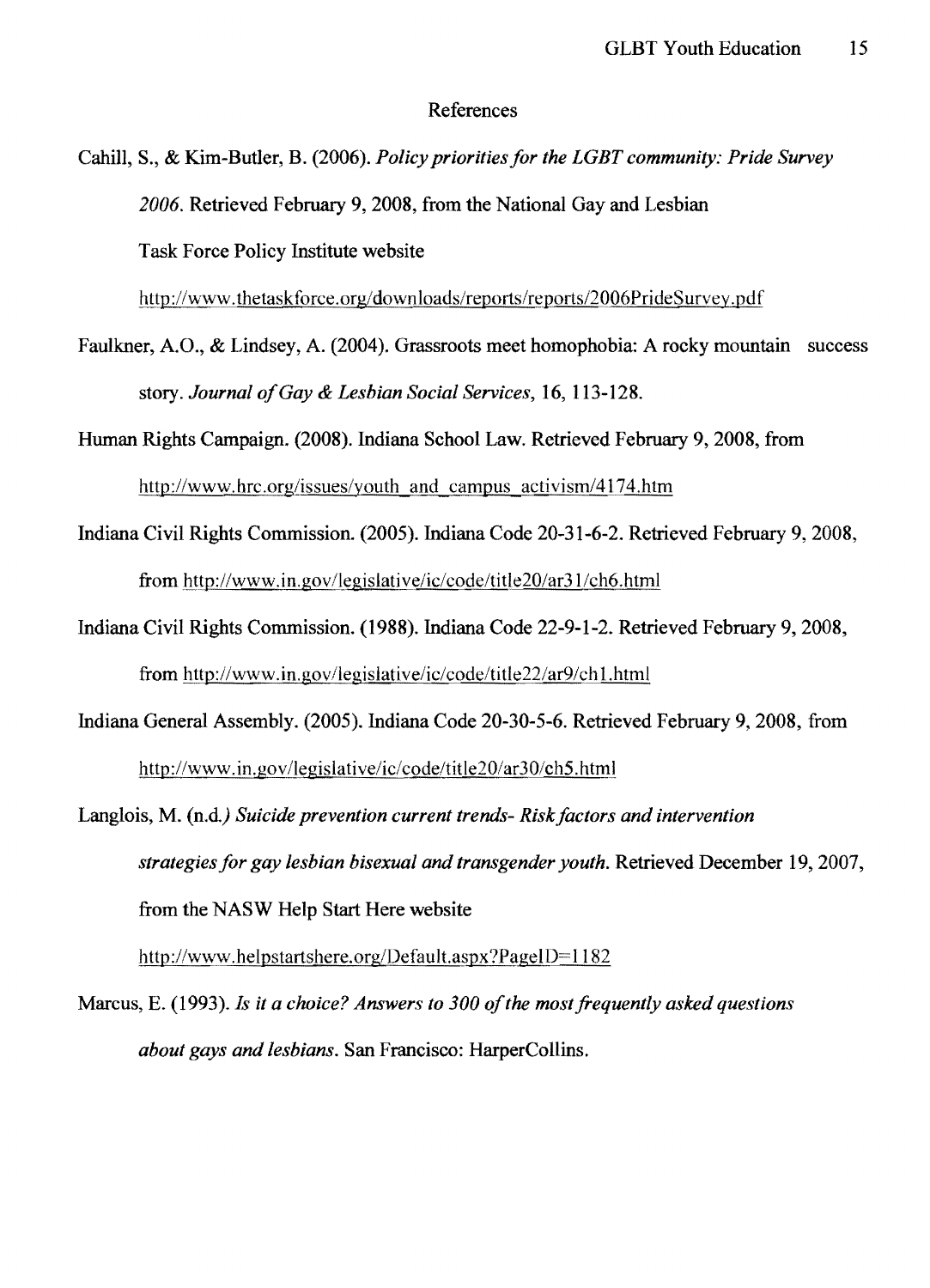#### References

Cahill, S., & Kim-Butler, B. (2006). *Policy priorities for the LGBT community: Pride Survey 2006.* Retrieved February 9, 2008, from the National Gay and Lesbian Task Force Policy Institute website

http://www.thetaskforce.org/downloads/reports/reports/2006PrideSurvey.pdf

Faulkner, AO., & Lindsey, A. (2004). Grassroots meet homophobia: A rocky mountain success story. *Journal o/Gay* & *Lesbian Social Services,* 16, 113-128.

Human Rights Campaign. (2008). Indiana School Law. Retrieved February 9, 2008, from http://www.hrc.org/issues/youth and campus activism/4174.htm

- Indiana Civil Rights Commission. (2005). Indiana Code 20-31-6-2. Retrieved February 9, 2008, from http://www.in.gov/legislative/ic/code/title20/ar31/ch6.html
- Indiana Civil Rights Commission. (1988). Indiana Code 22-9-1-2. Retrieved February 9, 2008, from http://www.in.gov/legislative/ic/code/title22/ar9/ch I.html
- Indiana General Assembly. (2005). Indiana Code 20-30-5-6. Retrieved February 9,2008, from http://www.in.gov/legislative/ic/code/title20/ar30/ch5.html
- Langlois, M. (n.d.) *Suicide prevention current trends- Risk factors and intervention strategies for gay lesbian bisexual and transgender youth. Retrieved December 19, 2007,* from the NASW Help Start Here website

http://www.helpstartshere.org/Default.aspx?PageID=1182

Marcus, E. (1993). *Is it a choice? Answers to 300 of the most frequently asked questions about gays and lesbians.* San Francisco: HarperCollins.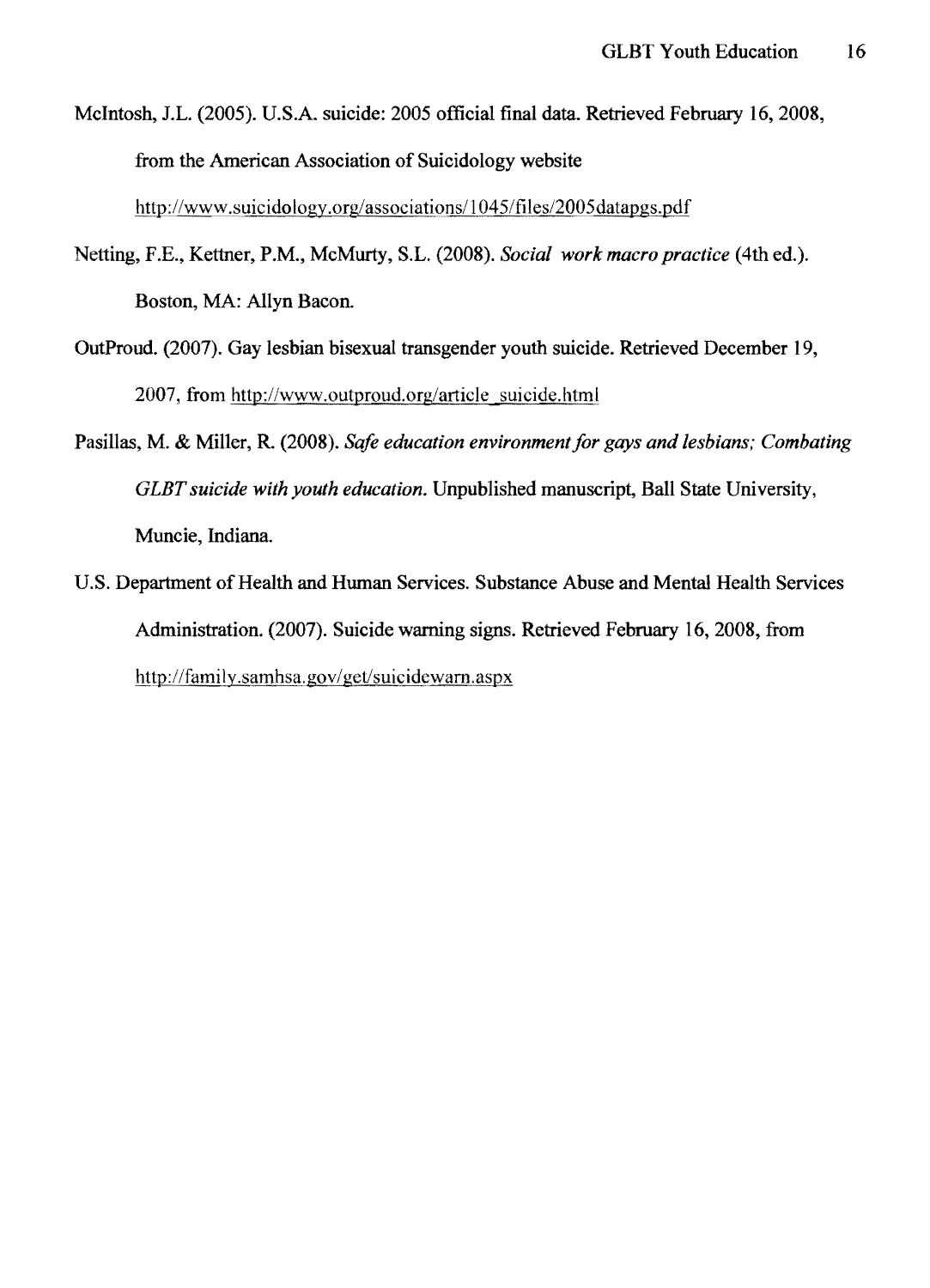McIntosh, J.L. (2005). U.S.A. suicide: 2005 official final data. Retrieved February 16,2008, from the American Association of Suicidology website http://www.suicidology.org/associations/1045/files/2005datapgs.pdf

- Netting, F.E., Kettner, P.M., McMurty, S.L. (2008). *Social work macro practice* (4th ed.). Boston, MA: Allyn Bacon.
- OutProud. (2007). Gay lesbian bisexual trans gender youth suicide. Retrieved December 19, 2007, from http://www.outproud.org/article\_suicide.html
- Pasillas, M. & Miller, R (2008). *Safe education environment for gays and lesbians; Combating GLBT suicide with youth education.* Unpublished manuscript, Ball State University, Muncie, Indiana.
- U.S. Department of Health and Human Services. Substance Abuse and Mental Health Services Administration. (2007). Suicide warning signs. Retrieved February 16, 2008, from http://family.samhsa.gov/get/suicidewarn.aspx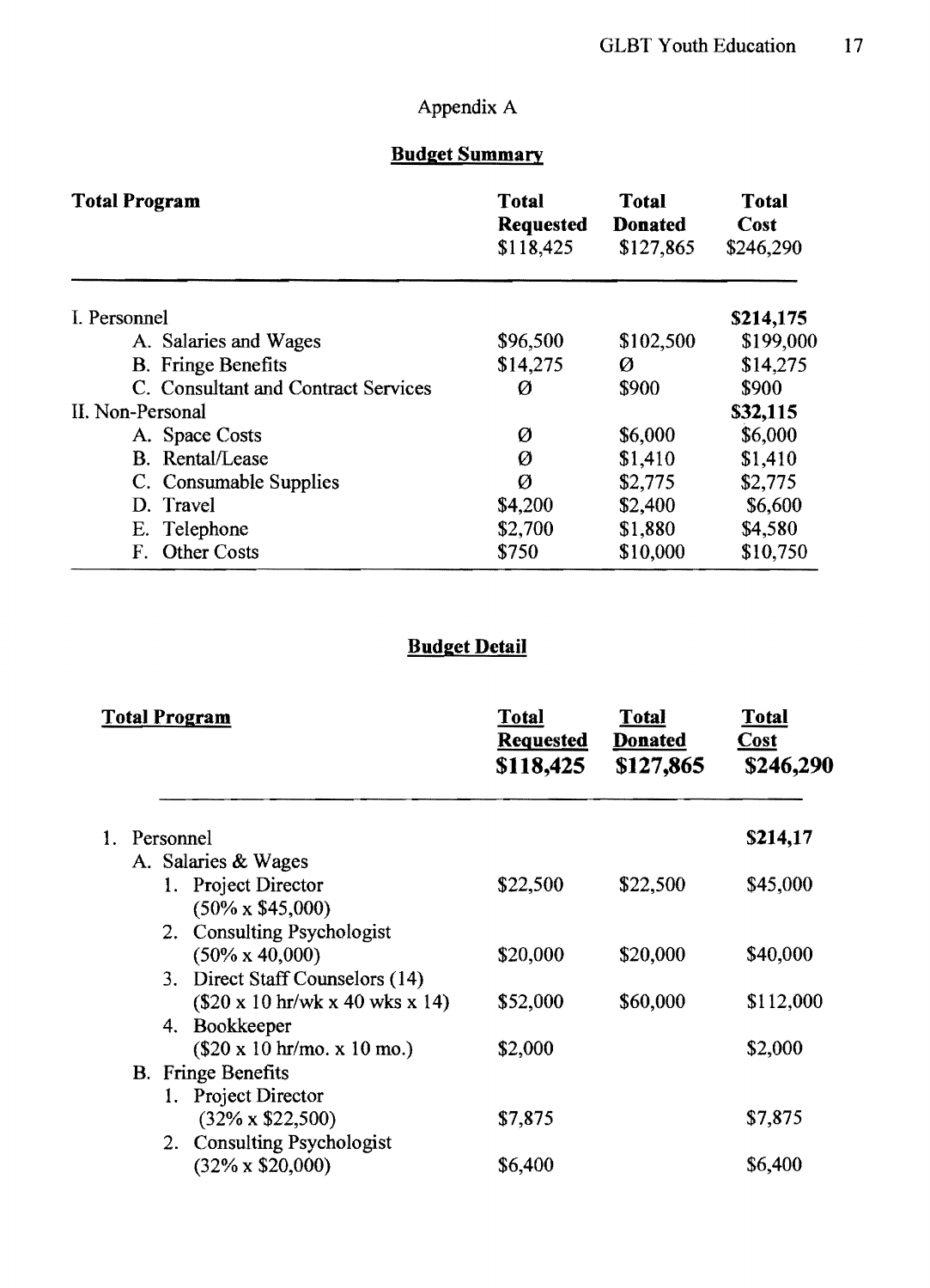# Appendix A

## **Budget Summary**

| <b>Total Program</b>                | <b>Total</b><br><b>Requested</b><br>\$118,425 | <b>Total</b><br><b>Donated</b><br>\$127,865 | <b>Total</b><br>Cost<br>\$246,290<br>\$214,175 |  |  |
|-------------------------------------|-----------------------------------------------|---------------------------------------------|------------------------------------------------|--|--|
| I. Personnel                        |                                               |                                             |                                                |  |  |
| A. Salaries and Wages               | \$96,500                                      | \$102,500                                   | \$199,000                                      |  |  |
| <b>B.</b> Fringe Benefits           | \$14,275                                      | Ø                                           | \$14,275                                       |  |  |
| C. Consultant and Contract Services | Ø                                             | \$900                                       | \$900                                          |  |  |
| II. Non-Personal                    |                                               |                                             | \$32,115                                       |  |  |
| A. Space Costs                      | Ø                                             | \$6,000                                     | \$6,000                                        |  |  |
| <b>B.</b> Rental/Lease              | Ø                                             | \$1,410                                     | \$1,410                                        |  |  |
| C. Consumable Supplies              | Ø                                             | \$2,775                                     | \$2,775                                        |  |  |
| D. Travel                           | \$4,200                                       | \$2,400                                     | \$6,600                                        |  |  |
| E. Telephone                        | \$2,700                                       | \$1,880                                     | \$4,580                                        |  |  |
| <b>Other Costs</b><br>F.            | \$750                                         | \$10,000                                    | \$10,750                                       |  |  |

## **Budget Detail**

| <b>Total Program</b>                                            | Total<br><b>Requested</b><br>\$118,425 | <b>Total</b><br><b>Donated</b><br>\$127,865 | Total<br><b>Cost</b><br>\$246,290 |
|-----------------------------------------------------------------|----------------------------------------|---------------------------------------------|-----------------------------------|
| 1. Personnel                                                    |                                        |                                             | \$214,17                          |
| A. Salaries & Wages                                             |                                        |                                             |                                   |
| 1. Project Director<br>$(50\% \times $45,000)$                  | \$22,500                               | \$22,500                                    | \$45,000                          |
| 2. Consulting Psychologist                                      |                                        |                                             |                                   |
| $(50\% \times 40,000)$                                          | \$20,000                               | \$20,000                                    | \$40,000                          |
| 3. Direct Staff Counselors (14)                                 |                                        |                                             |                                   |
| $($20 \times 10 \text{ hr/wk} \times 40 \text{ wks} \times 14)$ | \$52,000                               | \$60,000                                    | \$112,000                         |
| 4. Bookkeeper                                                   |                                        |                                             |                                   |
| $(\$20 \times 10 \text{ hr/mol} \times 10 \text{ mo.})$         | \$2,000                                |                                             | \$2,000                           |
| <b>B.</b> Fringe Benefits                                       |                                        |                                             |                                   |
| Project Director                                                |                                        |                                             |                                   |
| $(32\% \times $22,500)$                                         | \$7,875                                |                                             | \$7,875                           |
| 2. Consulting Psychologist                                      |                                        |                                             |                                   |
| $(32\% \times $20,000)$                                         | \$6,400                                |                                             | \$6,400                           |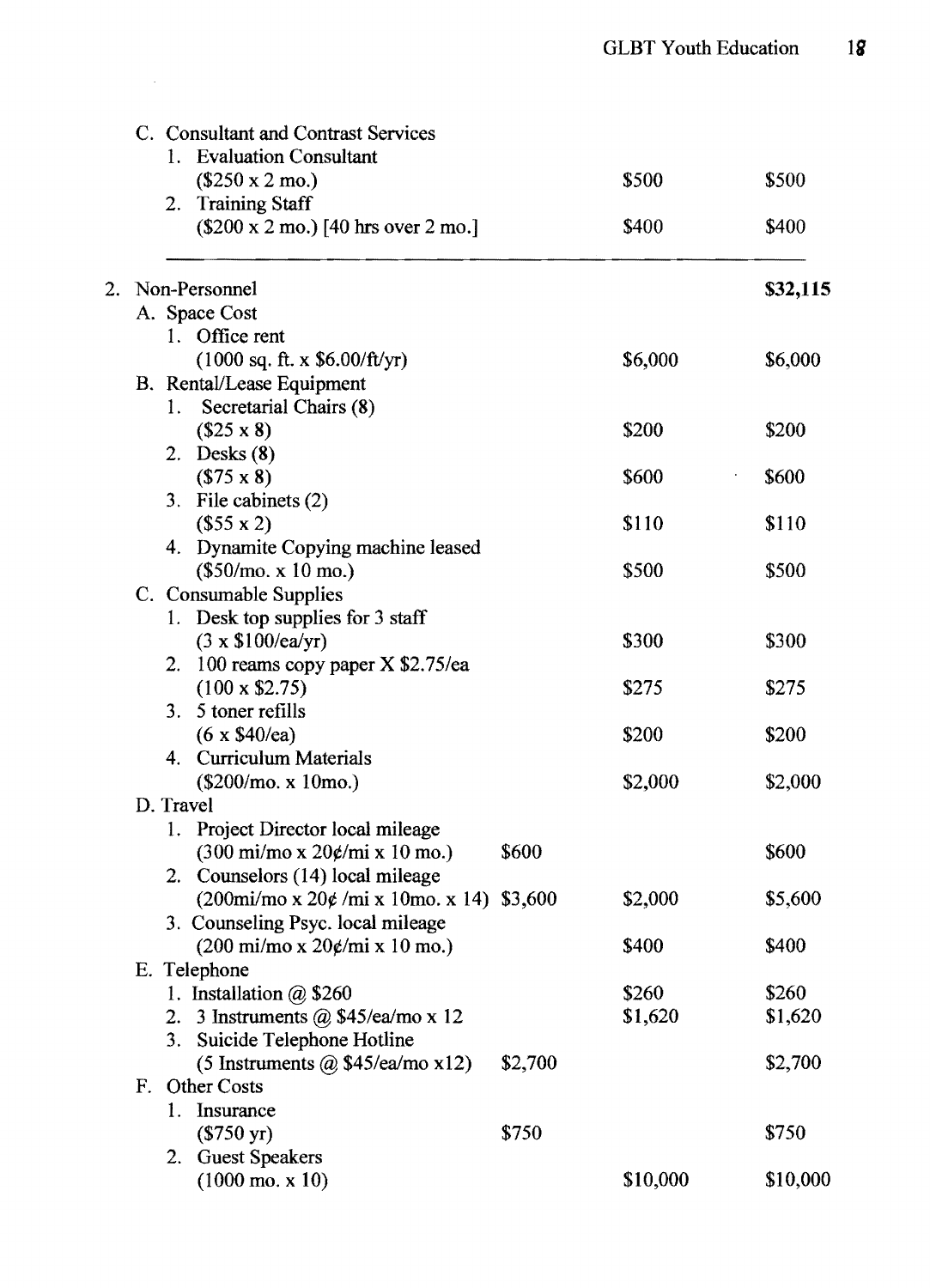|    |    | C. Consultant and Contrast Services                                                                              |         |          |          |  |  |  |  |  |  |  |  |  |
|----|----|------------------------------------------------------------------------------------------------------------------|---------|----------|----------|--|--|--|--|--|--|--|--|--|
|    |    | 1. Evaluation Consultant                                                                                         |         |          |          |  |  |  |  |  |  |  |  |  |
|    |    | $($250 \times 2 \text{ mo.})$                                                                                    |         | \$500    | \$500    |  |  |  |  |  |  |  |  |  |
|    |    | 2. Training Staff                                                                                                |         |          |          |  |  |  |  |  |  |  |  |  |
|    |    | $($200 \times 2 \text{ mo.})$ [40 hrs over 2 mo.]                                                                |         | \$400    | \$400    |  |  |  |  |  |  |  |  |  |
| 2. |    | Non-Personnel                                                                                                    |         |          | \$32,115 |  |  |  |  |  |  |  |  |  |
|    |    | A. Space Cost                                                                                                    |         |          |          |  |  |  |  |  |  |  |  |  |
|    |    | 1. Office rent                                                                                                   |         |          |          |  |  |  |  |  |  |  |  |  |
|    |    | $(1000 \text{ sq. ft. x } $6.00/\text{ft/yr})$                                                                   |         | \$6,000  | \$6,000  |  |  |  |  |  |  |  |  |  |
|    |    | <b>B.</b> Rental/Lease Equipment                                                                                 |         |          |          |  |  |  |  |  |  |  |  |  |
|    |    | Secretarial Chairs (8)<br>1.                                                                                     |         |          |          |  |  |  |  |  |  |  |  |  |
|    |    | $($25 \times 8)$                                                                                                 |         | \$200    | \$200    |  |  |  |  |  |  |  |  |  |
|    |    | 2. Desks $(8)$                                                                                                   |         |          |          |  |  |  |  |  |  |  |  |  |
|    |    | $($75 \times 8)$                                                                                                 |         | \$600    | \$600    |  |  |  |  |  |  |  |  |  |
|    |    | 3. File cabinets (2)                                                                                             |         |          |          |  |  |  |  |  |  |  |  |  |
|    |    | (\$55 x 2)                                                                                                       |         | \$110    | \$110    |  |  |  |  |  |  |  |  |  |
|    |    | 4. Dynamite Copying machine leased                                                                               |         |          |          |  |  |  |  |  |  |  |  |  |
|    |    | $(\$50/mo. x 10 mo.)$                                                                                            |         | \$500    | \$500    |  |  |  |  |  |  |  |  |  |
|    |    | C. Consumable Supplies                                                                                           |         |          |          |  |  |  |  |  |  |  |  |  |
|    |    | 1. Desk top supplies for 3 staff                                                                                 |         |          |          |  |  |  |  |  |  |  |  |  |
|    |    | $(3 \times \$100$ /ea/yr)                                                                                        |         | \$300    | \$300    |  |  |  |  |  |  |  |  |  |
|    |    | 2. 100 reams copy paper X \$2.75/ea                                                                              |         |          |          |  |  |  |  |  |  |  |  |  |
|    |    | $(100 \times $2.75)$                                                                                             |         | \$275    | \$275    |  |  |  |  |  |  |  |  |  |
|    |    | 3. 5 toner refills                                                                                               |         |          |          |  |  |  |  |  |  |  |  |  |
|    |    | $(6 \times $40$ /ea)                                                                                             |         | \$200    | \$200    |  |  |  |  |  |  |  |  |  |
|    |    | 4. Curriculum Materials                                                                                          |         |          |          |  |  |  |  |  |  |  |  |  |
|    |    | (\$200/mo. x 10mo.)<br>D. Travel                                                                                 |         | \$2,000  | \$2,000  |  |  |  |  |  |  |  |  |  |
|    |    |                                                                                                                  |         |          |          |  |  |  |  |  |  |  |  |  |
|    |    | 1. Project Director local mileage<br>$(300 \text{ mi/mol} \times 20 \frac{\cancel{0}}{m} \times 10 \text{ mo.})$ | \$600   |          | \$600    |  |  |  |  |  |  |  |  |  |
|    |    | 2. Counselors (14) local mileage                                                                                 |         |          |          |  |  |  |  |  |  |  |  |  |
|    |    | $(200\text{mi/mol})$ x $20\phi$ /mi x 10mo. x 14) \$3,600                                                        |         | \$2,000  | \$5,600  |  |  |  |  |  |  |  |  |  |
|    |    | 3. Counseling Psyc. local mileage                                                                                |         |          |          |  |  |  |  |  |  |  |  |  |
|    |    | $(200 \text{ mi/mol} \times 20 \phi/\text{mi} \times 10 \text{ mo.})$                                            |         | \$400    | \$400    |  |  |  |  |  |  |  |  |  |
|    |    | E. Telephone                                                                                                     |         |          |          |  |  |  |  |  |  |  |  |  |
|    |    | 1. Installation $@$ \$260                                                                                        |         | \$260    | \$260    |  |  |  |  |  |  |  |  |  |
|    |    | 2. 3 Instruments $\omega$ \$45/ea/mo x 12                                                                        |         | \$1,620  | \$1,620  |  |  |  |  |  |  |  |  |  |
|    |    | 3. Suicide Telephone Hotline                                                                                     |         |          |          |  |  |  |  |  |  |  |  |  |
|    |    | (5 Instruments $(a)$ \$45/ea/mo x12)                                                                             | \$2,700 |          | \$2,700  |  |  |  |  |  |  |  |  |  |
|    | F. | Other Costs                                                                                                      |         |          |          |  |  |  |  |  |  |  |  |  |
|    |    | Insurance<br>1.                                                                                                  |         |          |          |  |  |  |  |  |  |  |  |  |
|    |    | $($750 \text{ yr})$                                                                                              | \$750   |          | \$750    |  |  |  |  |  |  |  |  |  |
|    |    | 2. Guest Speakers                                                                                                |         |          |          |  |  |  |  |  |  |  |  |  |
|    |    | $(1000 \text{ mo. x } 10)$                                                                                       |         | \$10,000 | \$10,000 |  |  |  |  |  |  |  |  |  |

 $\mathcal{L}^{\text{max}}_{\text{max}}$  ,  $\mathcal{L}^{\text{max}}_{\text{max}}$